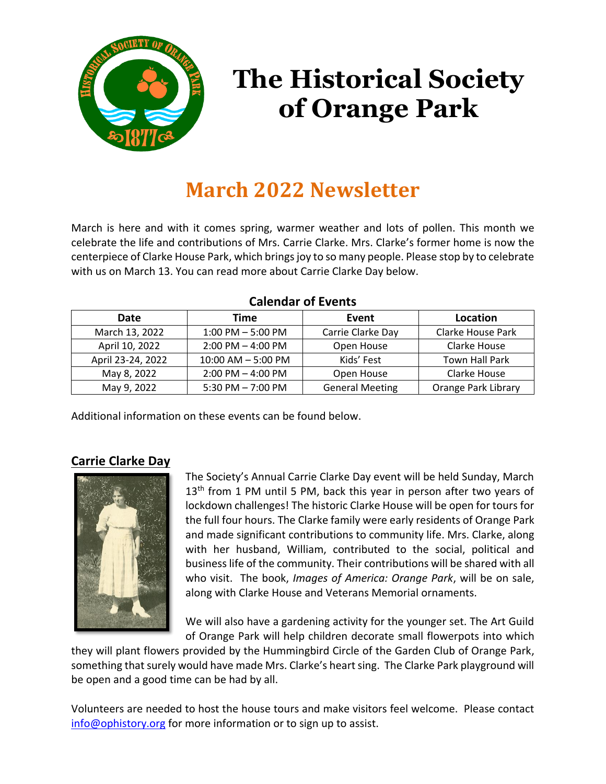

# **The Historical Society of Orange Park**

# **March 2022 Newsletter**

March is here and with it comes spring, warmer weather and lots of pollen. This month we celebrate the life and contributions of Mrs. Carrie Clarke. Mrs. Clarke's former home is now the centerpiece of Clarke House Park, which brings joy to so many people. Please stop by to celebrate with us on March 13. You can read more about Carrie Clarke Day below.

| 99191991 91 EVENTS |                       |                        |                          |
|--------------------|-----------------------|------------------------|--------------------------|
| Date               | Time                  | Event                  | Location                 |
| March 13, 2022     | $1:00$ PM $-5:00$ PM  | Carrie Clarke Day      | <b>Clarke House Park</b> |
| April 10, 2022     | $2:00$ PM $-$ 4:00 PM | Open House             | Clarke House             |
| April 23-24, 2022  | 10:00 AM - 5:00 PM    | Kids' Fest             | <b>Town Hall Park</b>    |
| May 8, 2022        | $2:00$ PM $-$ 4:00 PM | Open House             | Clarke House             |
| May 9, 2022        | 5:30 PM $-$ 7:00 PM   | <b>General Meeting</b> | Orange Park Library      |

#### **Calendar of Events**

Additional information on these events can be found below.

# **Carrie Clarke Day**



The Society's Annual Carrie Clarke Day event will be held Sunday, March  $13<sup>th</sup>$  from 1 PM until 5 PM, back this year in person after two years of lockdown challenges! The historic Clarke House will be open for tours for the full four hours. The Clarke family were early residents of Orange Park and made significant contributions to community life. Mrs. Clarke, along with her husband, William, contributed to the social, political and business life of the community. Their contributions will be shared with all who visit. The book, *Images of America: Orange Park*, will be on sale, along with Clarke House and Veterans Memorial ornaments.

We will also have a gardening activity for the younger set. The Art Guild of Orange Park will help children decorate small flowerpots into which

they will plant flowers provided by the Hummingbird Circle of the Garden Club of Orange Park, something that surely would have made Mrs. Clarke's heart sing. The Clarke Park playground will be open and a good time can be had by all.

Volunteers are needed to host the house tours and make visitors feel welcome. Please contact [info@ophistory.org](mailto:info@ophistory.org) for more information or to sign up to assist.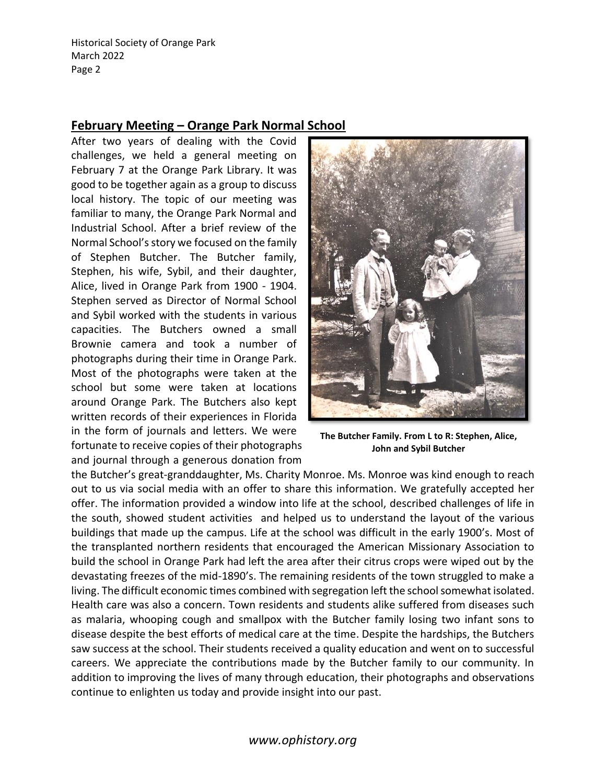#### **February Meeting – Orange Park Normal School**

After two years of dealing with the Covid challenges, we held a general meeting on February 7 at the Orange Park Library. It was good to be together again as a group to discuss local history. The topic of our meeting was familiar to many, the Orange Park Normal and Industrial School. After a brief review of the Normal School's story we focused on the family of Stephen Butcher. The Butcher family, Stephen, his wife, Sybil, and their daughter, Alice, lived in Orange Park from 1900 - 1904. Stephen served as Director of Normal School and Sybil worked with the students in various capacities. The Butchers owned a small Brownie camera and took a number of photographs during their time in Orange Park. Most of the photographs were taken at the school but some were taken at locations around Orange Park. The Butchers also kept written records of their experiences in Florida in the form of journals and letters. We were fortunate to receive copies of their photographs and journal through a generous donation from



**The Butcher Family. From L to R: Stephen, Alice, John and Sybil Butcher**

the Butcher's great-granddaughter, Ms. Charity Monroe. Ms. Monroe was kind enough to reach out to us via social media with an offer to share this information. We gratefully accepted her offer. The information provided a window into life at the school, described challenges of life in the south, showed student activities and helped us to understand the layout of the various buildings that made up the campus. Life at the school was difficult in the early 1900's. Most of the transplanted northern residents that encouraged the American Missionary Association to build the school in Orange Park had left the area after their citrus crops were wiped out by the devastating freezes of the mid-1890's. The remaining residents of the town struggled to make a living. The difficult economic times combined with segregation left the school somewhat isolated. Health care was also a concern. Town residents and students alike suffered from diseases such as malaria, whooping cough and smallpox with the Butcher family losing two infant sons to disease despite the best efforts of medical care at the time. Despite the hardships, the Butchers saw success at the school. Their students received a quality education and went on to successful careers. We appreciate the contributions made by the Butcher family to our community. In addition to improving the lives of many through education, their photographs and observations continue to enlighten us today and provide insight into our past.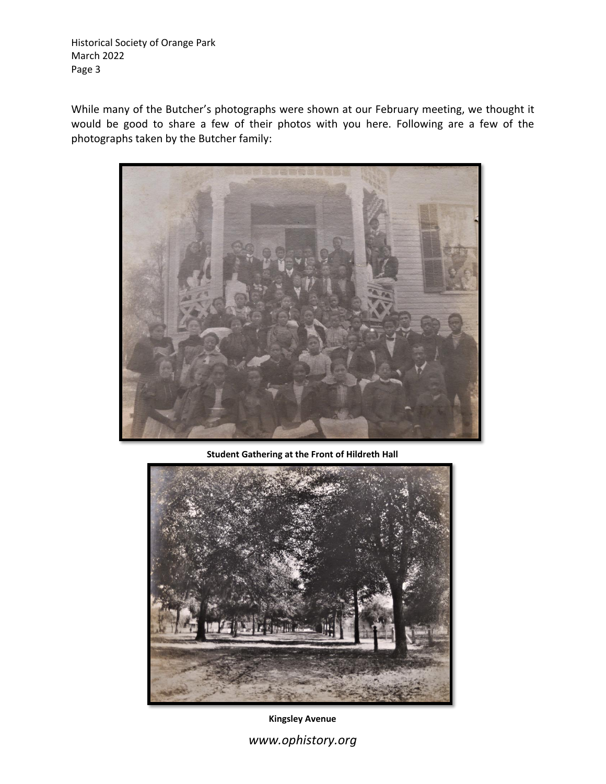While many of the Butcher's photographs were shown at our February meeting, we thought it would be good to share a few of their photos with you here. Following are a few of the photographs taken by the Butcher family:



**Student Gathering at the Front of Hildreth Hall**



**Kingsley Avenue**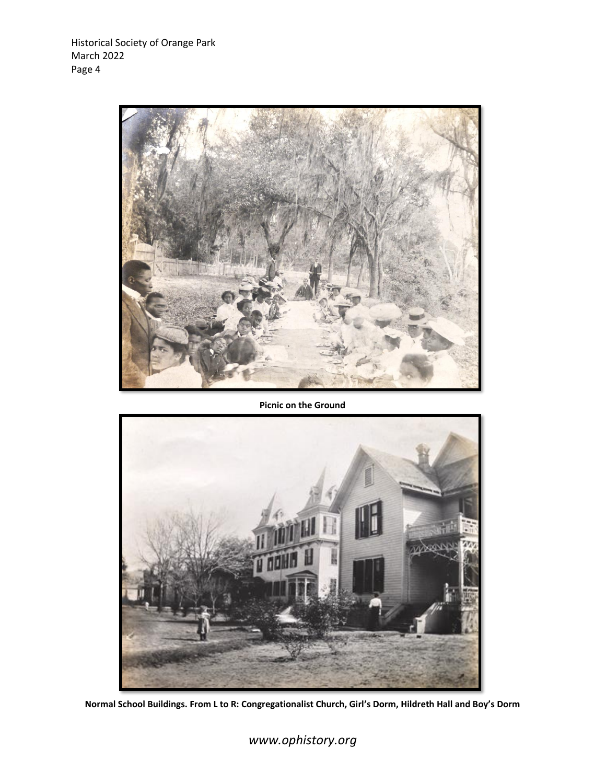

#### **Picnic on the Ground**



**Normal School Buildings. From L to R: Congregationalist Church, Girl's Dorm, Hildreth Hall and Boy's Dorm**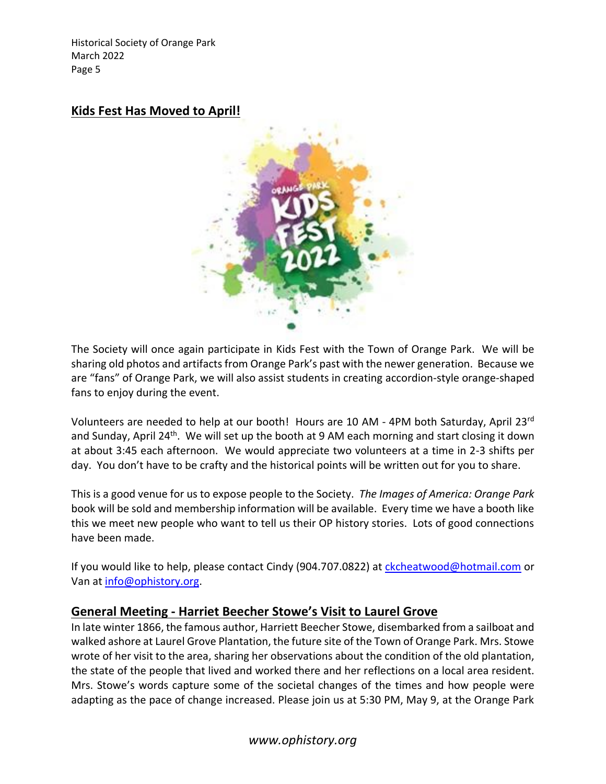#### **Kids Fest Has Moved to April!**



The Society will once again participate in Kids Fest with the Town of Orange Park. We will be sharing old photos and artifacts from Orange Park's past with the newer generation. Because we are "fans" of Orange Park, we will also assist students in creating accordion-style orange-shaped fans to enjoy during the event.

Volunteers are needed to help at our booth! Hours are 10 AM - 4PM both Saturday, April 23rd and Sunday, April 24<sup>th</sup>. We will set up the booth at 9 AM each morning and start closing it down at about 3:45 each afternoon. We would appreciate two volunteers at a time in 2-3 shifts per day. You don't have to be crafty and the historical points will be written out for you to share.

This is a good venue for us to expose people to the Society. *The Images of America: Orange Park*  book will be sold and membership information will be available. Every time we have a booth like this we meet new people who want to tell us their OP history stories. Lots of good connections have been made.

If you would like to help, please contact Cindy (904.707.0822) at [ckcheatwood@hotmail.com](mailto:ckcheatwood@hotmail.com) or Van at [info@ophistory.org.](mailto:info@ophistory.org)

#### **General Meeting - Harriet Beecher Stowe's Visit to Laurel Grove**

In late winter 1866, the famous author, Harriett Beecher Stowe, disembarked from a sailboat and walked ashore at Laurel Grove Plantation, the future site of the Town of Orange Park. Mrs. Stowe wrote of her visit to the area, sharing her observations about the condition of the old plantation, the state of the people that lived and worked there and her reflections on a local area resident. Mrs. Stowe's words capture some of the societal changes of the times and how people were adapting as the pace of change increased. Please join us at 5:30 PM, May 9, at the Orange Park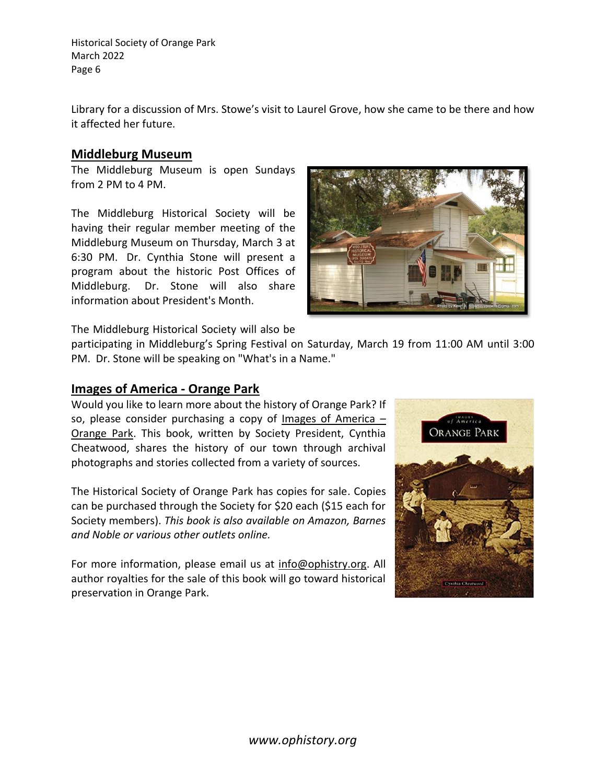Library for a discussion of Mrs. Stowe's visit to Laurel Grove, how she came to be there and how it affected her future.

#### **Middleburg Museum**

The Middleburg Museum is open Sundays from 2 PM to 4 PM.

The Middleburg Historical Society will be having their regular member meeting of the Middleburg Museum on Thursday, March 3 at 6:30 PM. Dr. Cynthia Stone will present a program about the historic Post Offices of Middleburg. Dr. Stone will also share information about President's Month.



The Middleburg Historical Society will also be

participating in Middleburg's Spring Festival on Saturday, March 19 from 11:00 AM until 3:00 PM. Dr. Stone will be speaking on "What's in a Name."

#### **Images of America - Orange Park**

Would you like to learn more about the history of Orange Park? If so, please consider purchasing a copy of Images of America – Orange Park. This book, written by Society President, Cynthia Cheatwood, shares the history of our town through archival photographs and stories collected from a variety of sources.

The Historical Society of Orange Park has copies for sale. Copies can be purchased through the Society for \$20 each (\$15 each for Society members). *This book is also available on Amazon, Barnes and Noble or various other outlets online.*

For more information, please email us at [info@ophistry.org.](mailto:info@ophistry.org) All author royalties for the sale of this book will go toward historical preservation in Orange Park.